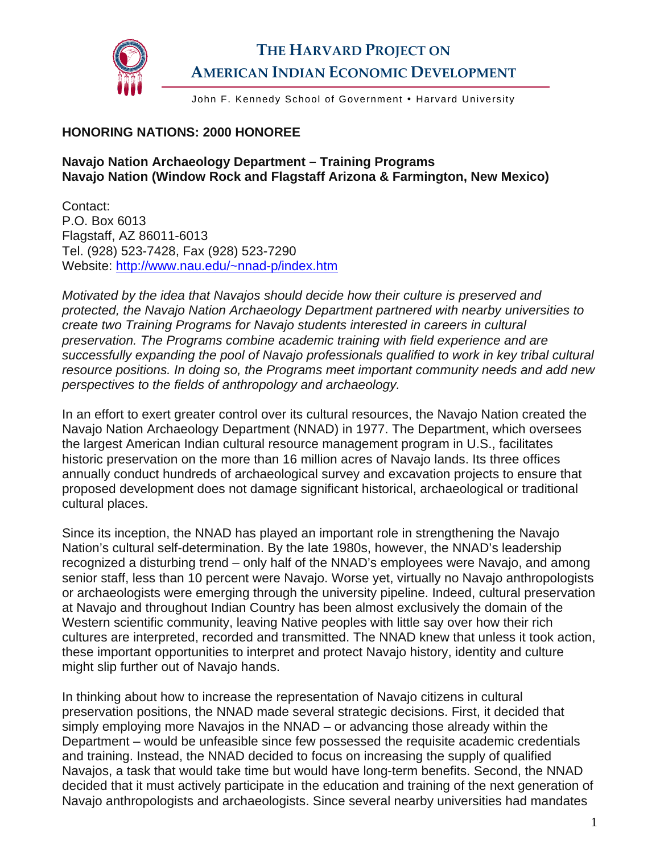

## **THE HARVARD PROJECT ON AMERICAN INDIAN ECONOMIC DEVELOPMENT**

John F. Kennedy School of Government . Harvard University

## **HONORING NATIONS: 2000 HONOREE**

## **Navajo Nation Archaeology Department – Training Programs Navajo Nation (Window Rock and Flagstaff Arizona & Farmington, New Mexico)**

Contact: P.O. Box 6013 Flagstaff, AZ 86011-6013 Tel. (928) 523-7428, Fax (928) 523-7290 Website: [http://www.nau.edu/~nnad-p/index.htm](http://www.nau.edu/%7Ennad-p/index.htm)

*Motivated by the idea that Navajos should decide how their culture is preserved and protected, the Navajo Nation Archaeology Department partnered with nearby universities to create two Training Programs for Navajo students interested in careers in cultural preservation. The Programs combine academic training with field experience and are successfully expanding the pool of Navajo professionals qualified to work in key tribal cultural resource positions. In doing so, the Programs meet important community needs and add new perspectives to the fields of anthropology and archaeology.* 

In an effort to exert greater control over its cultural resources, the Navajo Nation created the Navajo Nation Archaeology Department (NNAD) in 1977. The Department, which oversees the largest American Indian cultural resource management program in U.S., facilitates historic preservation on the more than 16 million acres of Navajo lands. Its three offices annually conduct hundreds of archaeological survey and excavation projects to ensure that proposed development does not damage significant historical, archaeological or traditional cultural places.

Since its inception, the NNAD has played an important role in strengthening the Navajo Nation's cultural self-determination. By the late 1980s, however, the NNAD's leadership recognized a disturbing trend – only half of the NNAD's employees were Navajo, and among senior staff, less than 10 percent were Navajo. Worse yet, virtually no Navajo anthropologists or archaeologists were emerging through the university pipeline. Indeed, cultural preservation at Navajo and throughout Indian Country has been almost exclusively the domain of the Western scientific community, leaving Native peoples with little say over how their rich cultures are interpreted, recorded and transmitted. The NNAD knew that unless it took action, these important opportunities to interpret and protect Navajo history, identity and culture might slip further out of Navajo hands.

In thinking about how to increase the representation of Navajo citizens in cultural preservation positions, the NNAD made several strategic decisions. First, it decided that simply employing more Navajos in the NNAD – or advancing those already within the Department – would be unfeasible since few possessed the requisite academic credentials and training. Instead, the NNAD decided to focus on increasing the supply of qualified Navajos, a task that would take time but would have long-term benefits. Second, the NNAD decided that it must actively participate in the education and training of the next generation of Navajo anthropologists and archaeologists. Since several nearby universities had mandates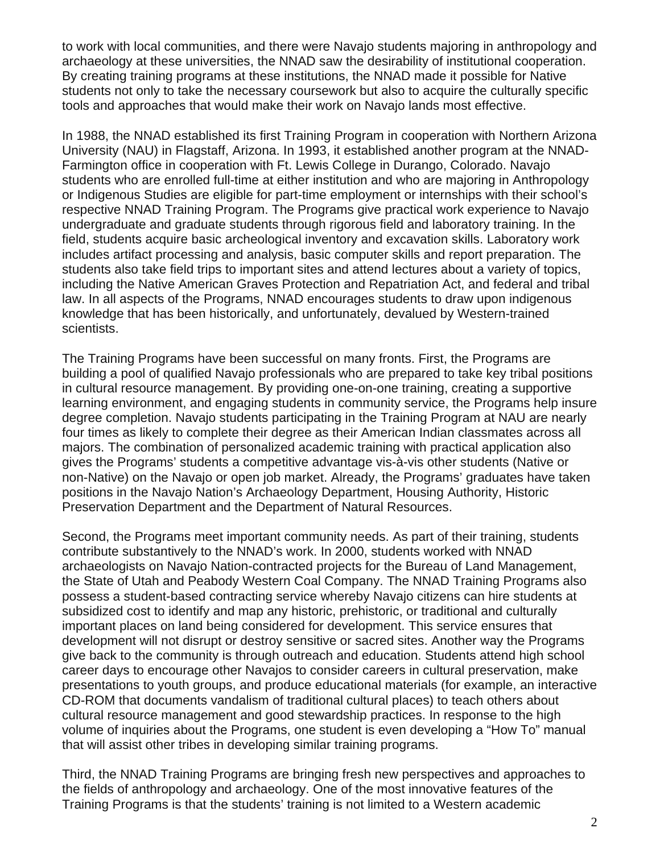to work with local communities, and there were Navajo students majoring in anthropology and archaeology at these universities, the NNAD saw the desirability of institutional cooperation. By creating training programs at these institutions, the NNAD made it possible for Native students not only to take the necessary coursework but also to acquire the culturally specific tools and approaches that would make their work on Navajo lands most effective.

In 1988, the NNAD established its first Training Program in cooperation with Northern Arizona University (NAU) in Flagstaff, Arizona. In 1993, it established another program at the NNAD-Farmington office in cooperation with Ft. Lewis College in Durango, Colorado. Navajo students who are enrolled full-time at either institution and who are majoring in Anthropology or Indigenous Studies are eligible for part-time employment or internships with their school's respective NNAD Training Program. The Programs give practical work experience to Navajo undergraduate and graduate students through rigorous field and laboratory training. In the field, students acquire basic archeological inventory and excavation skills. Laboratory work includes artifact processing and analysis, basic computer skills and report preparation. The students also take field trips to important sites and attend lectures about a variety of topics, including the Native American Graves Protection and Repatriation Act, and federal and tribal law. In all aspects of the Programs, NNAD encourages students to draw upon indigenous knowledge that has been historically, and unfortunately, devalued by Western-trained scientists.

The Training Programs have been successful on many fronts. First, the Programs are building a pool of qualified Navajo professionals who are prepared to take key tribal positions in cultural resource management. By providing one-on-one training, creating a supportive learning environment, and engaging students in community service, the Programs help insure degree completion. Navajo students participating in the Training Program at NAU are nearly four times as likely to complete their degree as their American Indian classmates across all majors. The combination of personalized academic training with practical application also gives the Programs' students a competitive advantage vis-à-vis other students (Native or non-Native) on the Navajo or open job market. Already, the Programs' graduates have taken positions in the Navajo Nation's Archaeology Department, Housing Authority, Historic Preservation Department and the Department of Natural Resources.

Second, the Programs meet important community needs. As part of their training, students contribute substantively to the NNAD's work. In 2000, students worked with NNAD archaeologists on Navajo Nation-contracted projects for the Bureau of Land Management, the State of Utah and Peabody Western Coal Company. The NNAD Training Programs also possess a student-based contracting service whereby Navajo citizens can hire students at subsidized cost to identify and map any historic, prehistoric, or traditional and culturally important places on land being considered for development. This service ensures that development will not disrupt or destroy sensitive or sacred sites. Another way the Programs give back to the community is through outreach and education. Students attend high school career days to encourage other Navajos to consider careers in cultural preservation, make presentations to youth groups, and produce educational materials (for example, an interactive CD-ROM that documents vandalism of traditional cultural places) to teach others about cultural resource management and good stewardship practices. In response to the high volume of inquiries about the Programs, one student is even developing a "How To" manual that will assist other tribes in developing similar training programs.

Third, the NNAD Training Programs are bringing fresh new perspectives and approaches to the fields of anthropology and archaeology. One of the most innovative features of the Training Programs is that the students' training is not limited to a Western academic